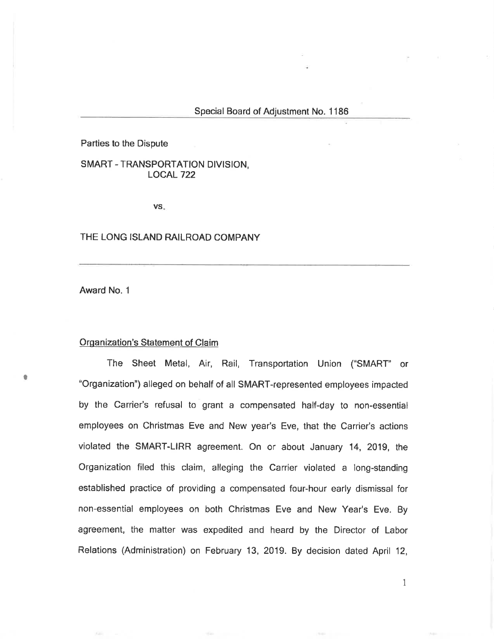Parties to the Dispute

SMART - TRANSPORTATION DIVISION, LOCAL 722

VS

### THE LONG ISLAND RAILROAD COMPANY

Award No. <sup>1</sup>

I

## Organization's Statement of Claim

The Sheet Metal, Air, Rail, Transportation Union ("SMART' or "Organization") alleged on behalf of all SMART-represented employees irnpacted by the Carrier's refusal to grant a compensated half-day to non-essential employees on Christmas Eve and New year's Eve, that the Carrier's actions violated the SMART-LIRR agreement. On or about January 14, 2019, the Organization filed this claim, alleging the Carrier violated a long-standing established practice of providing a compensated four-hour early dismissal for non-essential employees on both Christmas Eve and New Year's Eve. By agreement, the matter was expedited and heard by the Director of Labor Relations (Administration) on February 13, 2019. By decision dated April 12,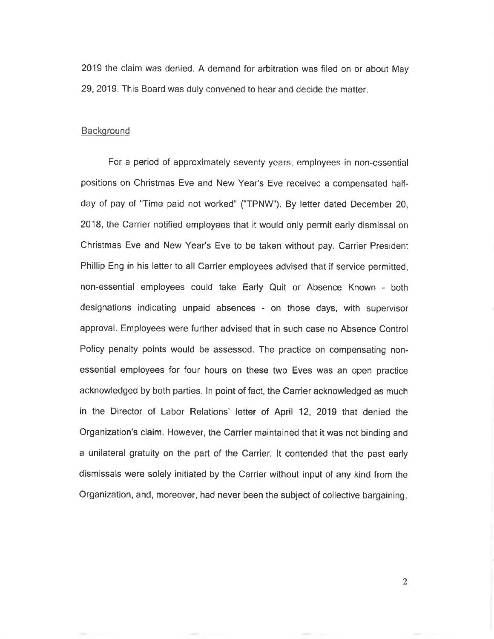2019 the claim was denied. A demand for arbitration was filed on or about May 29,2019. This Board was duly convened to hear and decide the matter.

# Background

For a period of approximately seventy years, employees in non-essential positions on Christmas Eve and New Year's Eve received a compensated halfday of pay of "Time paid not worked" ("TPNW"). By letter dated December 20, 2018, the Carrier notified employees that it would only permit early dismissal on Christmas Eve and New Year's Eve to be taken without pay, Carrier President Phillip Eng in his letter to all Carrier employees advised that íf service permitted, non-essential employees could take Early Quit or Absence Known - both designations indicating unpaid absences - on those days, with supervisor approval. Employees were further advised that in such case no Absence Control Policy penalty points would be assessed. The practice on compensating nonessential employees for four hours on these two Eves was an open practice acknowledged by both parties. ln point of fact, the Carrier acknowledged as much in the Director of Labor Relations' letter of April 12, 2019 that denied the Organization's claim. However, the Carrier maintained that it was not binding and a unílateral gratuity on the part of the Carrier. lt contended that the past early dismissals were solely initiated by the Carrier without input of any kind from the Organization, and, moreover, had never been the subject of collective bargaining.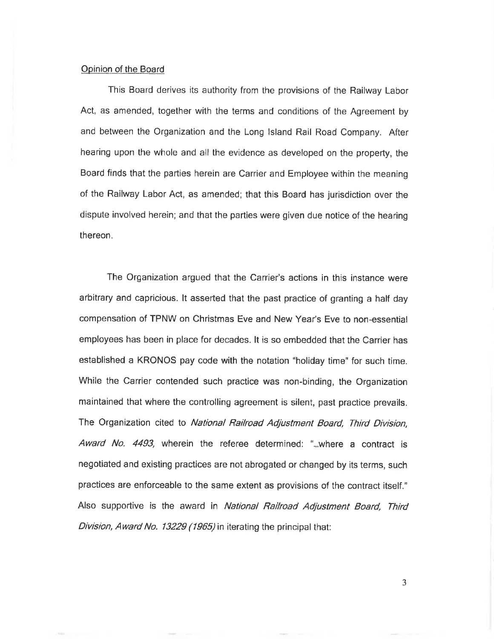### Opinion of the Board

This Board derives its authority from the provisions of the Railway Labor Act, as amended, together with the terms and conditions of the Agreement by and between the Organization and the Long lsland Rail Road Company. After hearing upon the whole and all the evidence as developed on the property, the Board finds that the parties herein are Carrier and Employee within the meaning of the Railway Labor Act, as amended; that this Board has jurisdiction over the dispute involved herein; and that the parties were given due notice of the hearing thereon.

The Organization argued that the Carrier's actions in this instance were arbitrary and capricious. lt asserted that the past practice of granting a half day compensation of TPNW on Christmas Eve and New Year's Eve to non-essential employees has been in place for decades. lt is so embedded that the Carrier has established a KRONOS pay code with the notation "holiday time" for such time. While the Carrier contended such practice was non-binding, the Organization maintained that where the controlling agreement is silent, past practice prevails. The Organization cited to National Railroad Adjustment Board, Third Division, Award No. 4493, wherein the referee determined: "...where a contract is negotiated and existing practices are not abrogated or changed by its terms, such practices are enforceable to the same extent as provisions of the contract itself." Also supportive is the award in National Railroad Adjustment Board, Third Division, Award No. 13229 (1965) in iterating the principal that: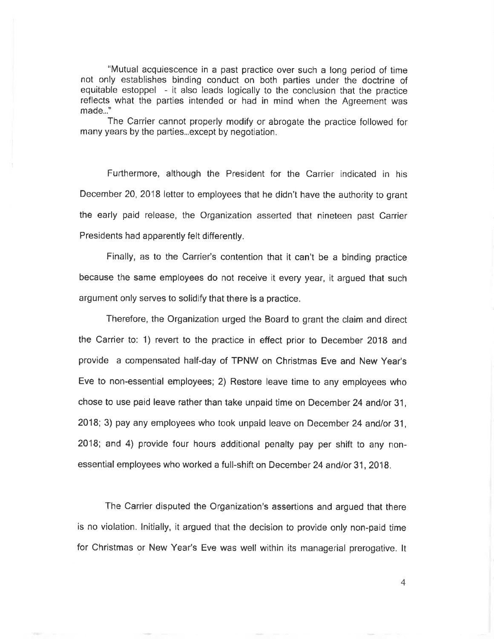"Mutual acquiescence in a past practice over such a long period of time not only establishes binding conduct on both parties under the doctrine of equitable estoppel - it also leads logically to the conclusion that the practice reflects what the parties intended or had in mind when the Agreement was made..."

The Carrier cannot properly modify or abrogate the practice followed for many years by the parties...except by negotiation.

Furthermore, although the President for the Carríer indicated in his December 20, 2018 letter to employees that he didn't have the authority to grant the early paid release, the Organization asserted that nineteen past Carrier Presidents had apparently felt differently.

Finally, as to the Carrier's contention that it can't be a binding practice because the same employees do not receive it every year, it argued that such argument only serves to solidify that there is a practice.

Therefore, the Organization urged the Board to grant the claim and direct the Carrier to: 1) revert to the practice in effect prior to December 2018 and provide a compensated half-day of TPNW on Christmas Eve and New Year's Eve to non-essential employees; 2) Restore leave time to any employees who chose to use paid leave rather than take unpaid time on December 24 and/or 31, 2018; 3) pay any employees who took unpaid leave on December 24 and/or 31, 2O18; and 4) provide four hours additional penalty pay per shift to any nonessential employees who worked a full-shift on December 24 and/or 31, 2018,

The Carrier disputed the Organization's assertions and argued that there is no violation. lnitially, it argued that the decision to provide only non-paid time for Christmas or New Year's Eve was well within its managerial prerogative. lt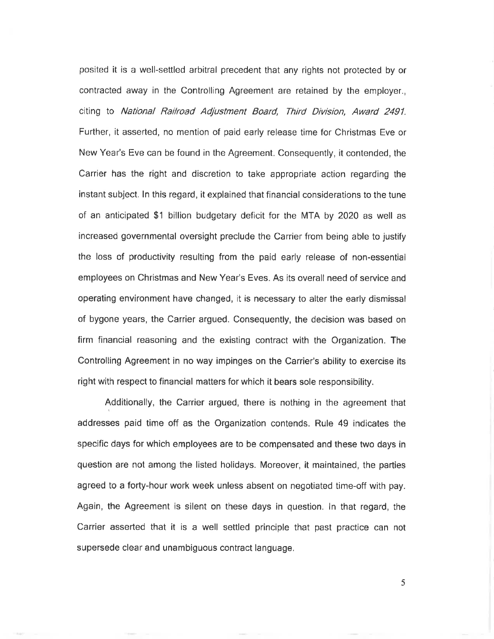posited it is a well-settled arbitral precedent that any rights not protected by or contracted away in the Controlling Agreement are retained by the employer., citing to National Railroad Adjustment Board, Third Division, Award 2491. Further, it asserted, no mention of paid early release time for Christmas Eve or New Year's Eve can be found in the Agreement. Consequently, it contended, the Carrier has the right and discretion to take appropriate action regarding the instant subject. ln this regard, it explained that financial considerations to the tune of an anticipated \$1 billion budgetary deficit for the MTA by 2020 as well as increased governmental oversight preclude the Carrier from being able to justify the loss of productivity resulting from the paíd early release of non-essential employees on Christmas and New Year's Eves. As its overall need of service and operating environment have changed, it is necessary to alter the early dismissal of bygone years, the Carrier argued. Consequently, the decision was based on firm financial reasoning and the existing contract with the Organization. The Controlling Agreement in no way impinges on the Carrier's ability to exercise its right with respect to financial matters for which it bears sole responsibility.

Additionally, the Carrier argued, there is nothing in the agreement that addresses paid time off as the Organization contends. Rule 49 indicates the specific days for which employees are to be compensated and these two days in question are not among the listed holidays. Moreover, it maintained, the parties agreed to a forty-hour work week unless absent on negotiated time-off with pay. Again, the Agreement is silent on these days in question. ln that regard, the Carrier asserted that it is a well settled principle that past practice can not supersede clear and unambiguous contract language.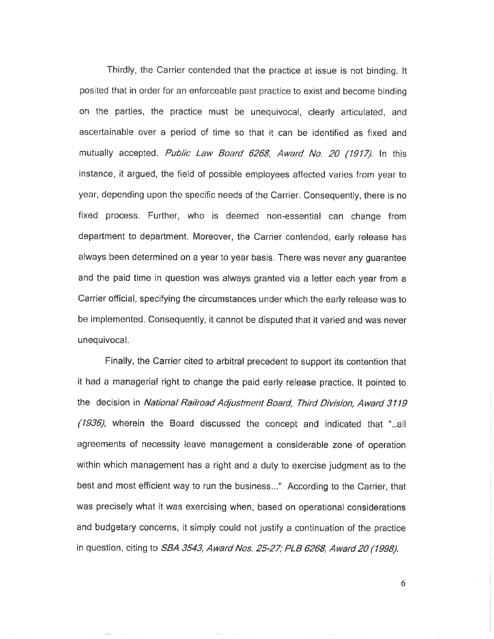Thirdly, the Carrier contended that the practice at issue is not binding. lt posited that in order for an enforceable past practice to exist and become binding on the parties, the practice must be unequivocal, clearly articulated, and ascertainable over a period of time so that it can be identified as fixed and mutually accepted. Public Law Board 6268, Award No. 20 (1917). In this instance, it argued, the field of possible employees affected varies from year to year, depending upon the specific needs of the Carrier. Consequently, there is no fixed process. Further, who is deemed non-essential can change from department to department. Moreover, the Carrier contended, early release has always been determined on a year to year basis. There was never any guarantee and the paid time in question was always granted via a letter each year from <sup>a</sup> Carrier official, specifying the circumstances under which the early release was to be implemented. Consequently, it cannot be disputed that it varied and was never unequivocal.

Finally, the Carrier cited to arbitral precedent to support its contention that it had a managerial right to change the paid early release practice. lt pointed to the decision in National Railroad Adjustment Board, Third Division, Award 3119 (1936), wherein the Board discussed the concept and indicated that "...all agreements of necessity leave management a consíderable zone of operation within which management has a right and a duty to exercise judgment as to the best and most efficient way to run the business..." According to the Carrier, that was precisely what it was exercising when, based on operational considerations and budgetary concerns, it simply could not justify a continuation of the practice in question, citing to *SBA 3543, Award Nos. 25-27; PLB 6268, Award 20 (1998).*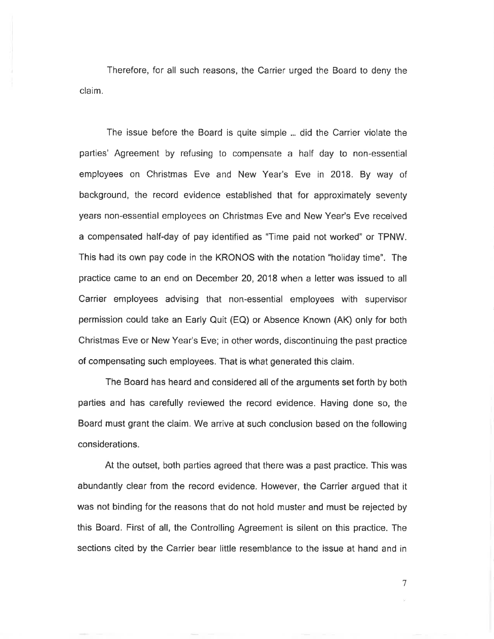Therefore, for all such reasons, the Carrier urged the Board to deny the claim,

The issue before the Board is quite simple ... did the Carrier violate the parties' Agreement by refusing to compensate a half day to non-essential employees on Christmas Eve and New Year's Eve in 2018. By way of background, the record evidence established that for approximately seventy years non-essential employees on Christmas Eve and New Year's Eve received a compensated half-day of pay identified as "Time paid not worked" or TPNW. This had its own pay code in the KRONOS with the notation "holiday time". The practice came to an end on December20,2018 when a letterwas issued to all Carrier employees advising that non-essential employees with supervisor permission could take an Early Quít (EQ) or Absence Known (AK) only for both Christmas Eve or New Year's Eve; in other words, discontinuing the past practice of compensating such employees. That is what generated this claim.

The Board has heard and considered all of the arguments set forth by both parties and has carefully reviewed the record evidence. Having done so, the Board must grant the claim. We arrive at such conclusion based on the following considerations.

At the outset, both parties agreed that there was a past practice. This was abundantly clear from the record evidence. However, the Carrier argued that it was not binding for the reasons that do not hold muster and must be rejected by this Board, First of all, the Controlling Agreement is silent on this practice. The sections cited by the Carrier bear little resemblance to the issue at hand and in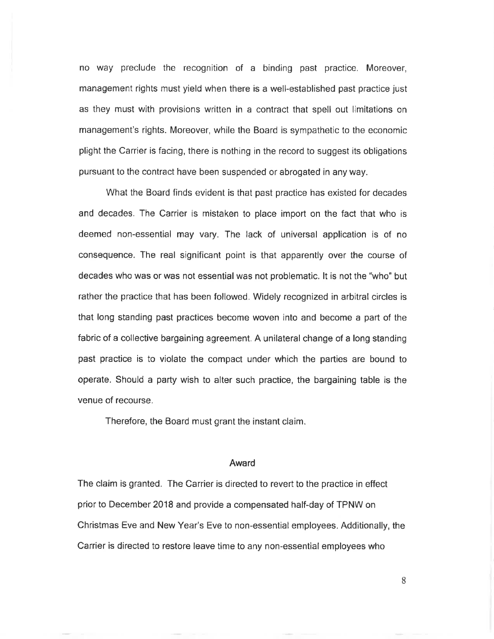no way preclude the recognition of a binding past practice. Moreover, management rights must yield when there is a well-established past practice just as they must with provisions written in a contract that spell out limitations on management's rights. Moreover, while the Board is sympathetic to the economic plight the Carrier is facing, there is nothing in the record to suggest its obligations pursuant to the contract have been suspended or abrogated in any way.

What the Board finds evident is that past practice has existed for decades and decades. The Carrier is mistaken to place import on the fact that who is deemed non-essential may vary. The lack of universal application is of no conseguence. The real signifícant point is that apparently over the course of decades who was or was not essential was not problematic. lt is not the "who" but rather the practice that has been followed. Widely recognized in arbitral circles is that long standing past practices become woven into and become a part of the fabric of a collective bargaining agreement, A unilateral change of a long standing past practice is to violate the compact under which the parties are bound to operate. Should a party wish to alter such practice, the bargaining table is the venue of recourse.

Therefore, the Board must grant the instant claim.

### Award

The claim is granted. The Carrier is directed to revert to the practice in effect prior to December 2018 and provide a compensated half-day of TPNW on Christmas Eve and New Year's Eve to non-essential employees. Additionally, the Carrier is directed to restore leave time to any non-essential employees who